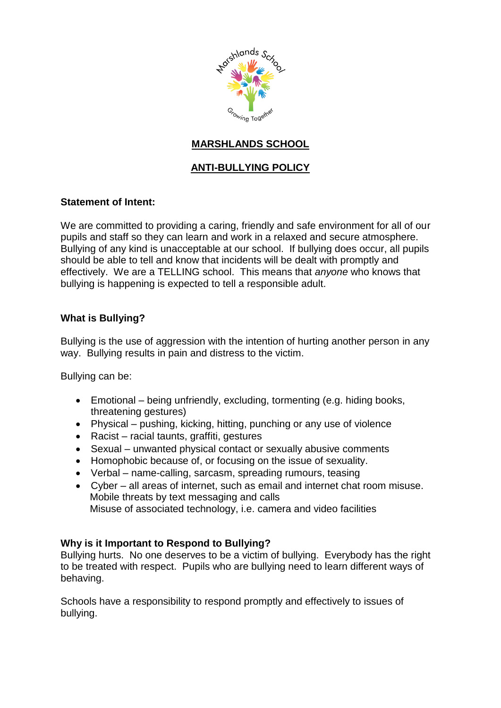

# **MARSHLANDS SCHOOL**

# **ANTI-BULLYING POLICY**

## **Statement of Intent:**

We are committed to providing a caring, friendly and safe environment for all of our pupils and staff so they can learn and work in a relaxed and secure atmosphere. Bullying of any kind is unacceptable at our school. If bullying does occur, all pupils should be able to tell and know that incidents will be dealt with promptly and effectively. We are a TELLING school. This means that *anyone* who knows that bullying is happening is expected to tell a responsible adult.

## **What is Bullying?**

Bullying is the use of aggression with the intention of hurting another person in any way. Bullying results in pain and distress to the victim.

Bullying can be:

- Emotional being unfriendly, excluding, tormenting (e.g. hiding books, threatening gestures)
- Physical pushing, kicking, hitting, punching or any use of violence
- Racist racial taunts, graffiti, gestures
- Sexual unwanted physical contact or sexually abusive comments
- Homophobic because of, or focusing on the issue of sexuality.
- Verbal name-calling, sarcasm, spreading rumours, teasing
- Cyber all areas of internet, such as email and internet chat room misuse. Mobile threats by text messaging and calls Misuse of associated technology, i.e. camera and video facilities

#### **Why is it Important to Respond to Bullying?**

Bullying hurts. No one deserves to be a victim of bullying. Everybody has the right to be treated with respect. Pupils who are bullying need to learn different ways of behaving.

Schools have a responsibility to respond promptly and effectively to issues of bullying.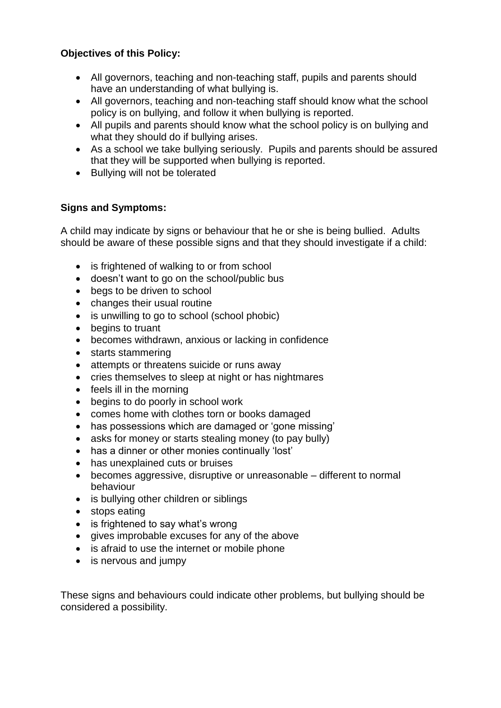## **Objectives of this Policy:**

- All governors, teaching and non-teaching staff, pupils and parents should have an understanding of what bullying is.
- All governors, teaching and non-teaching staff should know what the school policy is on bullying, and follow it when bullying is reported.
- All pupils and parents should know what the school policy is on bullying and what they should do if bullying arises.
- As a school we take bullying seriously. Pupils and parents should be assured that they will be supported when bullying is reported.
- Bullying will not be tolerated

## **Signs and Symptoms:**

A child may indicate by signs or behaviour that he or she is being bullied. Adults should be aware of these possible signs and that they should investigate if a child:

- is frightened of walking to or from school
- doesn't want to go on the school/public bus
- begs to be driven to school
- changes their usual routine
- is unwilling to go to school (school phobic)
- begins to truant
- becomes withdrawn, anxious or lacking in confidence
- starts stammering
- attempts or threatens suicide or runs away
- cries themselves to sleep at night or has nightmares
- $\bullet$  feels ill in the morning
- begins to do poorly in school work
- comes home with clothes torn or books damaged
- has possessions which are damaged or 'gone missing'
- asks for money or starts stealing money (to pay bully)
- has a dinner or other monies continually 'lost'
- has unexplained cuts or bruises
- becomes aggressive, disruptive or unreasonable different to normal behaviour
- is bullying other children or siblings
- stops eating
- is frightened to say what's wrong
- gives improbable excuses for any of the above
- is afraid to use the internet or mobile phone
- is nervous and jumpy

These signs and behaviours could indicate other problems, but bullying should be considered a possibility.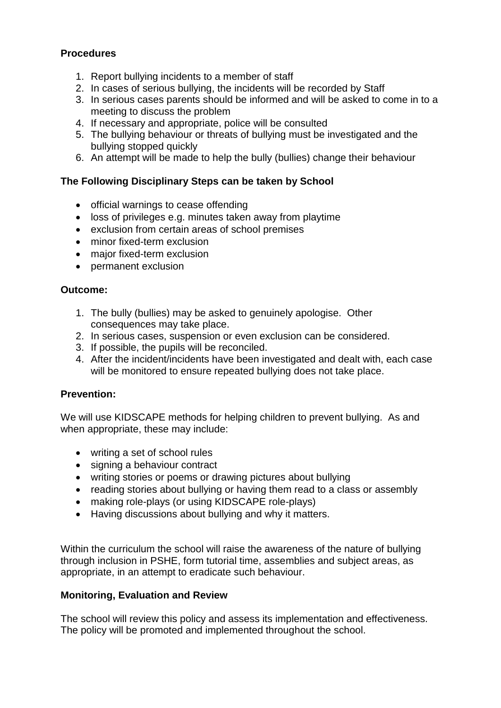## **Procedures**

- 1. Report bullying incidents to a member of staff
- 2. In cases of serious bullying, the incidents will be recorded by Staff
- 3. In serious cases parents should be informed and will be asked to come in to a meeting to discuss the problem
- 4. If necessary and appropriate, police will be consulted
- 5. The bullying behaviour or threats of bullying must be investigated and the bullying stopped quickly
- 6. An attempt will be made to help the bully (bullies) change their behaviour

### **The Following Disciplinary Steps can be taken by School**

- official warnings to cease offending
- loss of privileges e.g. minutes taken away from playtime
- exclusion from certain areas of school premises
- minor fixed-term exclusion
- major fixed-term exclusion
- permanent exclusion

### **Outcome:**

- 1. The bully (bullies) may be asked to genuinely apologise. Other consequences may take place.
- 2. In serious cases, suspension or even exclusion can be considered.
- 3. If possible, the pupils will be reconciled.
- 4. After the incident/incidents have been investigated and dealt with, each case will be monitored to ensure repeated bullying does not take place.

#### **Prevention:**

We will use KIDSCAPE methods for helping children to prevent bullying. As and when appropriate, these may include:

- writing a set of school rules
- signing a behaviour contract
- writing stories or poems or drawing pictures about bullying
- reading stories about bullying or having them read to a class or assembly
- making role-plays (or using KIDSCAPE role-plays)
- Having discussions about bullying and why it matters.

Within the curriculum the school will raise the awareness of the nature of bullying through inclusion in PSHE, form tutorial time, assemblies and subject areas, as appropriate, in an attempt to eradicate such behaviour.

#### **Monitoring, Evaluation and Review**

The school will review this policy and assess its implementation and effectiveness. The policy will be promoted and implemented throughout the school.